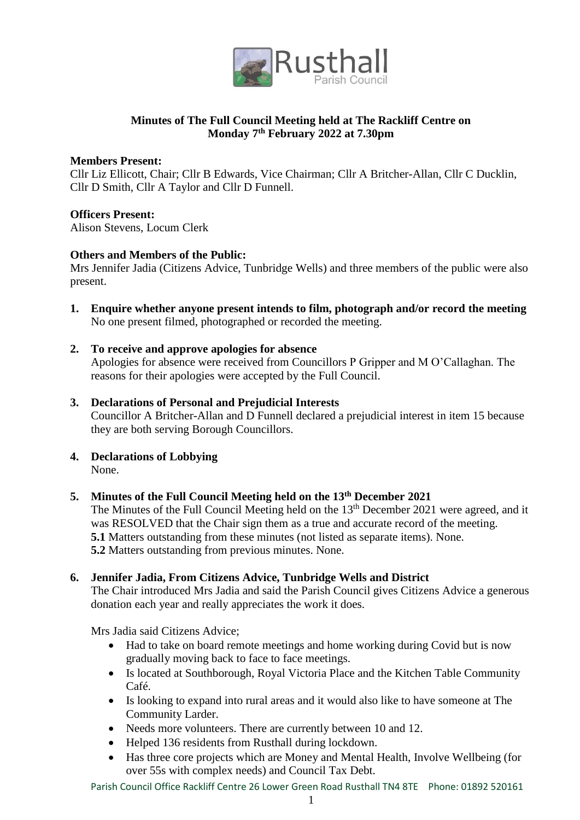

## **Minutes of The Full Council Meeting held at The Rackliff Centre on Monday 7th February 2022 at 7.30pm**

## **Members Present:**

Cllr Liz Ellicott, Chair; Cllr B Edwards, Vice Chairman; Cllr A Britcher-Allan, Cllr C Ducklin, Cllr D Smith, Cllr A Taylor and Cllr D Funnell.

## **Officers Present:**

Alison Stevens, Locum Clerk

## **Others and Members of the Public:**

Mrs Jennifer Jadia (Citizens Advice, Tunbridge Wells) and three members of the public were also present.

**1. Enquire whether anyone present intends to film, photograph and/or record the meeting** No one present filmed, photographed or recorded the meeting.

#### **2. To receive and approve apologies for absence**

Apologies for absence were received from Councillors P Gripper and M O'Callaghan. The reasons for their apologies were accepted by the Full Council.

## **3. Declarations of Personal and Prejudicial Interests**

Councillor A Britcher-Allan and D Funnell declared a prejudicial interest in item 15 because they are both serving Borough Councillors.

**4. Declarations of Lobbying** None.

## **5. Minutes of the Full Council Meeting held on the 13th December 2021**

The Minutes of the Full Council Meeting held on the 13<sup>th</sup> December 2021 were agreed, and it was RESOLVED that the Chair sign them as a true and accurate record of the meeting. **5.1** Matters outstanding from these minutes (not listed as separate items). None. **5.2** Matters outstanding from previous minutes. None.

#### **6. Jennifer Jadia, From Citizens Advice, Tunbridge Wells and District**

The Chair introduced Mrs Jadia and said the Parish Council gives Citizens Advice a generous donation each year and really appreciates the work it does.

Mrs Jadia said Citizens Advice;

- Had to take on board remote meetings and home working during Covid but is now gradually moving back to face to face meetings.
- Is located at Southborough, Royal Victoria Place and the Kitchen Table Community Café.
- Is looking to expand into rural areas and it would also like to have someone at The Community Larder.
- Needs more volunteers. There are currently between 10 and 12.
- Helped 136 residents from Rusthall during lockdown.
- Has three core projects which are Money and Mental Health, Involve Wellbeing (for over 55s with complex needs) and Council Tax Debt.

Parish Council Office Rackliff Centre 26 Lower Green Road Rusthall TN4 8TE Phone: 01892 520161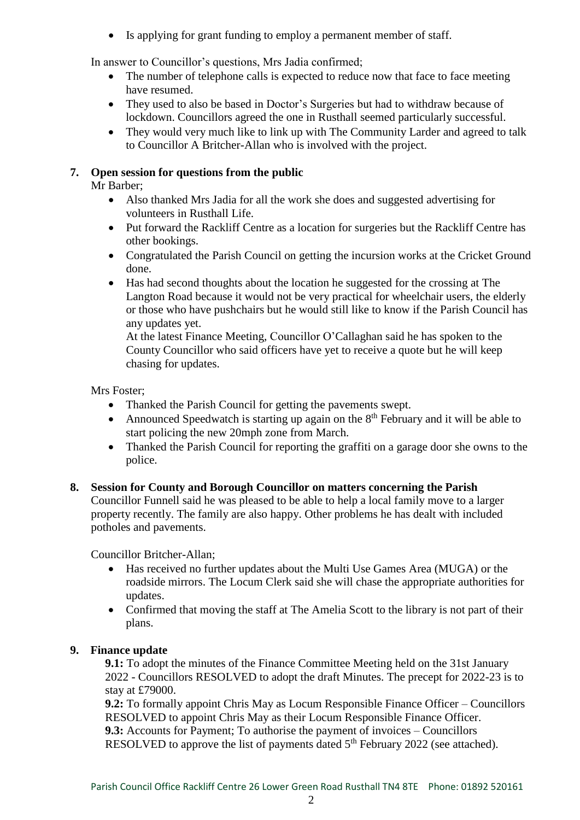Is applying for grant funding to employ a permanent member of staff.

In answer to Councillor's questions, Mrs Jadia confirmed;

- The number of telephone calls is expected to reduce now that face to face meeting have resumed.
- They used to also be based in Doctor's Surgeries but had to withdraw because of lockdown. Councillors agreed the one in Rusthall seemed particularly successful.
- They would very much like to link up with The Community Larder and agreed to talk to Councillor A Britcher-Allan who is involved with the project.

## **7. Open session for questions from the public**

Mr Barber;

- Also thanked Mrs Jadia for all the work she does and suggested advertising for volunteers in Rusthall Life.
- Put forward the Rackliff Centre as a location for surgeries but the Rackliff Centre has other bookings.
- Congratulated the Parish Council on getting the incursion works at the Cricket Ground done.
- Has had second thoughts about the location he suggested for the crossing at The Langton Road because it would not be very practical for wheelchair users, the elderly or those who have pushchairs but he would still like to know if the Parish Council has any updates yet.

At the latest Finance Meeting, Councillor O'Callaghan said he has spoken to the County Councillor who said officers have yet to receive a quote but he will keep chasing for updates.

Mrs Foster;

- Thanked the Parish Council for getting the pavements swept.
- Announced Speedwatch is starting up again on the  $8<sup>th</sup>$  February and it will be able to start policing the new 20mph zone from March.
- Thanked the Parish Council for reporting the graffiti on a garage door she owns to the police.

## **8. Session for County and Borough Councillor on matters concerning the Parish**

Councillor Funnell said he was pleased to be able to help a local family move to a larger property recently. The family are also happy. Other problems he has dealt with included potholes and pavements.

Councillor Britcher-Allan;

- Has received no further updates about the Multi Use Games Area (MUGA) or the roadside mirrors. The Locum Clerk said she will chase the appropriate authorities for updates.
- Confirmed that moving the staff at The Amelia Scott to the library is not part of their plans.

## **9. Finance update**

**9.1:** To adopt the minutes of the Finance Committee Meeting held on the 31st January 2022 - Councillors RESOLVED to adopt the draft Minutes. The precept for 2022-23 is to stay at £79000.

**9.2:** To formally appoint Chris May as Locum Responsible Finance Officer – Councillors RESOLVED to appoint Chris May as their Locum Responsible Finance Officer. **9.3:** Accounts for Payment; To authorise the payment of invoices – Councillors RESOLVED to approve the list of payments dated  $5<sup>th</sup>$  February 2022 (see attached).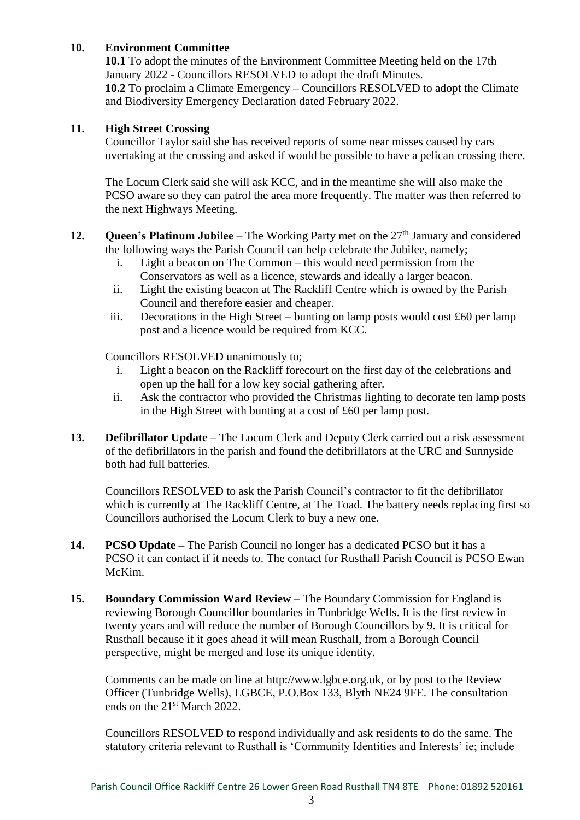## **10. Environment Committee**

**10.1** To adopt the minutes of the Environment Committee Meeting held on the 17th January 2022 - Councillors RESOLVED to adopt the draft Minutes. **10.2** To proclaim a Climate Emergency – Councillors RESOLVED to adopt the Climate and Biodiversity Emergency Declaration dated February 2022.

## **11. High Street Crossing**

Councillor Taylor said she has received reports of some near misses caused by cars overtaking at the crossing and asked if would be possible to have a pelican crossing there.

The Locum Clerk said she will ask KCC, and in the meantime she will also make the PCSO aware so they can patrol the area more frequently. The matter was then referred to the next Highways Meeting.

- **12. Queen's Platinum Jubilee** The Working Party met on the 27<sup>th</sup> January and considered the following ways the Parish Council can help celebrate the Jubilee, namely;
	- i. Light a beacon on The Common this would need permission from the Conservators as well as a licence, stewards and ideally a larger beacon.
	- ii. Light the existing beacon at The Rackliff Centre which is owned by the Parish Council and therefore easier and cheaper.
	- iii. Decorations in the High Street bunting on lamp posts would cost  $£60$  per lamp post and a licence would be required from KCC.

Councillors RESOLVED unanimously to;

- i. Light a beacon on the Rackliff forecourt on the first day of the celebrations and open up the hall for a low key social gathering after.
- ii. Ask the contractor who provided the Christmas lighting to decorate ten lamp posts in the High Street with bunting at a cost of £60 per lamp post.
- **13. Defibrillator Update** The Locum Clerk and Deputy Clerk carried out a risk assessment of the defibrillators in the parish and found the defibrillators at the URC and Sunnyside both had full batteries.

Councillors RESOLVED to ask the Parish Council's contractor to fit the defibrillator which is currently at The Rackliff Centre, at The Toad. The battery needs replacing first so Councillors authorised the Locum Clerk to buy a new one.

- **14. PCSO Update –** The Parish Council no longer has a dedicated PCSO but it has a PCSO it can contact if it needs to. The contact for Rusthall Parish Council is PCSO Ewan McKim.
- **15. Boundary Commission Ward Review –** The Boundary Commission for England is reviewing Borough Councillor boundaries in Tunbridge Wells. It is the first review in twenty years and will reduce the number of Borough Councillors by 9. It is critical for Rusthall because if it goes ahead it will mean Rusthall, from a Borough Council perspective, might be merged and lose its unique identity.

Comments can be made on line at http://www.lgbce.org.uk, or by post to the Review Officer (Tunbridge Wells), LGBCE, P.O.Box 133, Blyth NE24 9FE. The consultation ends on the 21st March 2022.

Councillors RESOLVED to respond individually and ask residents to do the same. The statutory criteria relevant to Rusthall is 'Community Identities and Interests' ie; include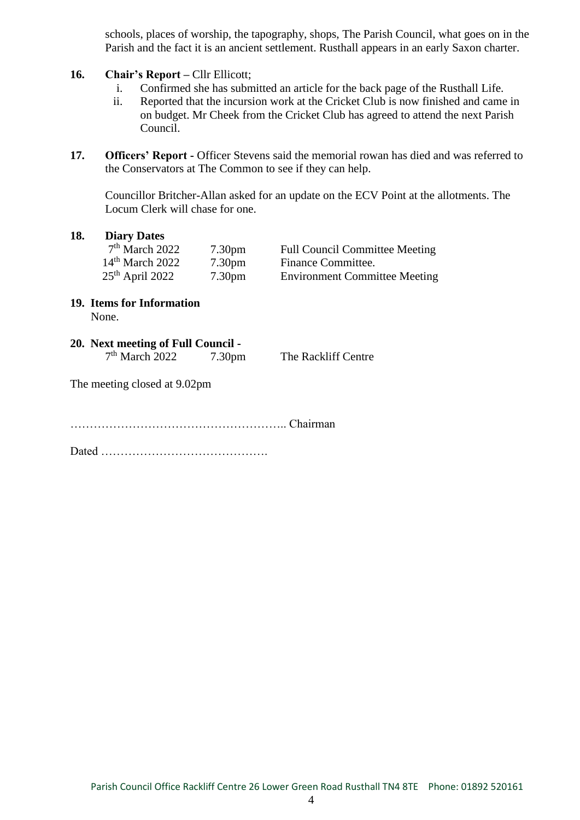schools, places of worship, the tapography, shops, The Parish Council, what goes on in the Parish and the fact it is an ancient settlement. Rusthall appears in an early Saxon charter.

- **16. Chair's Report –** Cllr Ellicott;
	- i. Confirmed she has submitted an article for the back page of the Rusthall Life.
	- ii. Reported that the incursion work at the Cricket Club is now finished and came in on budget. Mr Cheek from the Cricket Club has agreed to attend the next Parish Council.
- 17. **Officers' Report -** Officer Stevens said the memorial rowan has died and was referred to the Conservators at The Common to see if they can help.

Councillor Britcher-Allan asked for an update on the ECV Point at the allotments. The Locum Clerk will chase for one.

#### **18. Diary Dates**

| $7th$ March 2022  | 7.30 <sub>pm</sub> | <b>Full Council Committee Meeting</b> |
|-------------------|--------------------|---------------------------------------|
| $14th$ March 2022 | 7.30 <sub>pm</sub> | Finance Committee.                    |
| $25th$ April 2022 | 7.30 <sub>pm</sub> | <b>Environment Committee Meeting</b>  |

- **19. Items for Information** None.
- **20. Next meeting of Full Council**   $7<sup>th</sup>$  March 2022 7.30pm The Rackliff Centre

The meeting closed at 9.02pm

……………………………………………….. Chairman

Dated …………………………………….